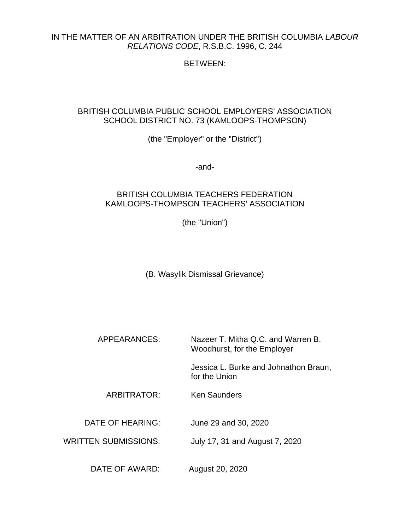### IN THE MATTER OF AN ARBITRATION UNDER THE BRITISH COLUMBIA *LABOUR RELATIONS CODE*, R.S.B.C. 1996, C. 244

# BETWEEN:

## BRITISH COLUMBIA PUBLIC SCHOOL EMPLOYERS' ASSOCIATION SCHOOL DISTRICT NO. 73 (KAMLOOPS-THOMPSON)

(the "Employer" or the "District")

-and-

## BRITISH COLUMBIA TEACHERS FEDERATION KAMLOOPS-THOMPSON TEACHERS' ASSOCIATION

(the "Union")

(B. Wasylik Dismissal Grievance)

APPEARANCES: Nazeer T. Mitha Q.C. and Warren B. Woodhurst, for the Employer

> Jessica L. Burke and Johnathon Braun, for the Union

ARBITRATOR: Ken Saunders

DATE OF HEARING: June 29 and 30, 2020

WRITTEN SUBMISSIONS: July 17, 31 and August 7, 2020

DATE OF AWARD: August 20, 2020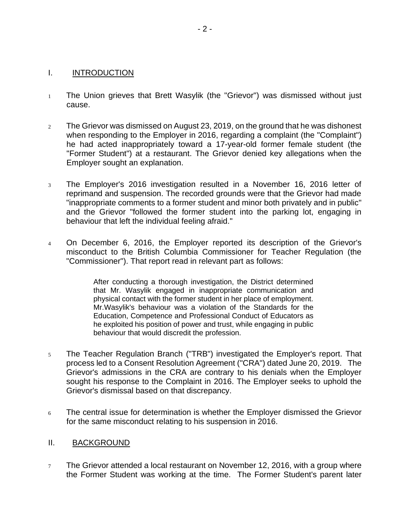#### I. INTRODUCTION

- <sup>1</sup> The Union grieves that Brett Wasylik (the "Grievor") was dismissed without just cause.
- <sup>2</sup> The Grievor was dismissed on August 23, 2019, on the ground that he was dishonest when responding to the Employer in 2016, regarding a complaint (the "Complaint") he had acted inappropriately toward a 17-year-old former female student (the "Former Student") at a restaurant. The Grievor denied key allegations when the Employer sought an explanation.
- <sup>3</sup> The Employer's 2016 investigation resulted in a November 16, 2016 letter of reprimand and suspension. The recorded grounds were that the Grievor had made "inappropriate comments to a former student and minor both privately and in public" and the Grievor "followed the former student into the parking lot, engaging in behaviour that left the individual feeling afraid."
- <sup>4</sup> On December 6, 2016, the Employer reported its description of the Grievor's misconduct to the British Columbia Commissioner for Teacher Regulation (the "Commissioner"). That report read in relevant part as follows:

After conducting a thorough investigation, the District determined that Mr. Wasylik engaged in inappropriate communication and physical contact with the former student in her place of employment. Mr.Wasylik's behaviour was a violation of the Standards for the Education, Competence and Professional Conduct of Educators as he exploited his position of power and trust, while engaging in public behaviour that would discredit the profession.

- <sup>5</sup> The Teacher Regulation Branch ("TRB") investigated the Employer's report. That process led to a Consent Resolution Agreement ("CRA") dated June 20, 2019. The Grievor's admissions in the CRA are contrary to his denials when the Employer sought his response to the Complaint in 2016. The Employer seeks to uphold the Grievor's dismissal based on that discrepancy.
- <sup>6</sup> The central issue for determination is whether the Employer dismissed the Grievor for the same misconduct relating to his suspension in 2016.

#### II. BACKGROUND

 $7$  The Grievor attended a local restaurant on November 12, 2016, with a group where the Former Student was working at the time. The Former Student's parent later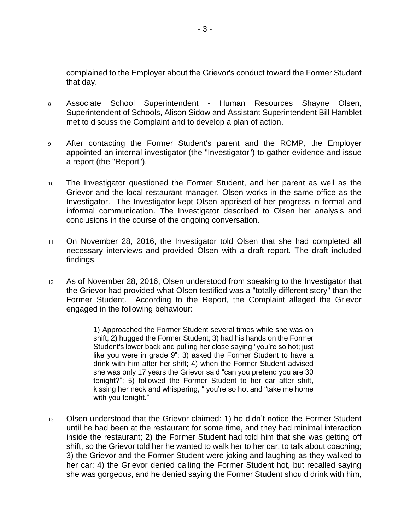complained to the Employer about the Grievor's conduct toward the Former Student that day.

- 8 Associate School Superintendent Human Resources Shayne Olsen, Superintendent of Schools, Alison Sidow and Assistant Superintendent Bill Hamblet met to discuss the Complaint and to develop a plan of action.
- <sup>9</sup> After contacting the Former Student's parent and the RCMP, the Employer appointed an internal investigator (the "Investigator") to gather evidence and issue a report (the "Report").
- <sup>10</sup> The Investigator questioned the Former Student, and her parent as well as the Grievor and the local restaurant manager. Olsen works in the same office as the Investigator. The Investigator kept Olsen apprised of her progress in formal and informal communication. The Investigator described to Olsen her analysis and conclusions in the course of the ongoing conversation.
- <sup>11</sup> On November 28, 2016, the Investigator told Olsen that she had completed all necessary interviews and provided Olsen with a draft report. The draft included findings.
- <sup>12</sup> As of November 28, 2016, Olsen understood from speaking to the Investigator that the Grievor had provided what Olsen testified was a "totally different story" than the Former Student. According to the Report, the Complaint alleged the Grievor engaged in the following behaviour:

1) Approached the Former Student several times while she was on shift; 2) hugged the Former Student; 3) had his hands on the Former Student's lower back and pulling her close saying "you're so hot; just like you were in grade 9"; 3) asked the Former Student to have a drink with him after her shift; 4) when the Former Student advised she was only 17 years the Grievor said "can you pretend you are 30 tonight?"; 5) followed the Former Student to her car after shift, kissing her neck and whispering, " you're so hot and "take me home with you tonight."

<sup>13</sup> Olsen understood that the Grievor claimed: 1) he didn't notice the Former Student until he had been at the restaurant for some time, and they had minimal interaction inside the restaurant; 2) the Former Student had told him that she was getting off shift, so the Grievor told her he wanted to walk her to her car, to talk about coaching; 3) the Grievor and the Former Student were joking and laughing as they walked to her car: 4) the Grievor denied calling the Former Student hot, but recalled saying she was gorgeous, and he denied saying the Former Student should drink with him,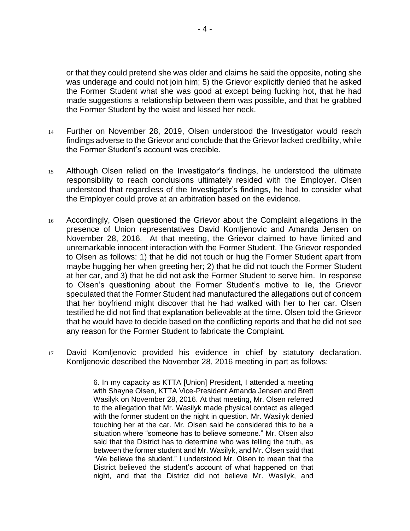or that they could pretend she was older and claims he said the opposite, noting she was underage and could not join him; 5) the Grievor explicitly denied that he asked the Former Student what she was good at except being fucking hot, that he had made suggestions a relationship between them was possible, and that he grabbed the Former Student by the waist and kissed her neck.

- <sup>14</sup> Further on November 28, 2019, Olsen understood the Investigator would reach findings adverse to the Grievor and conclude that the Grievor lacked credibility, while the Former Student's account was credible.
- <sup>15</sup> Although Olsen relied on the Investigator's findings, he understood the ultimate responsibility to reach conclusions ultimately resided with the Employer. Olsen understood that regardless of the Investigator's findings, he had to consider what the Employer could prove at an arbitration based on the evidence.
- <sup>16</sup> Accordingly, Olsen questioned the Grievor about the Complaint allegations in the presence of Union representatives David Komljenovic and Amanda Jensen on November 28, 2016. At that meeting, the Grievor claimed to have limited and unremarkable innocent interaction with the Former Student. The Grievor responded to Olsen as follows: 1) that he did not touch or hug the Former Student apart from maybe hugging her when greeting her; 2) that he did not touch the Former Student at her car, and 3) that he did not ask the Former Student to serve him. In response to Olsen's questioning about the Former Student's motive to lie, the Grievor speculated that the Former Student had manufactured the allegations out of concern that her boyfriend might discover that he had walked with her to her car. Olsen testified he did not find that explanation believable at the time. Olsen told the Grievor that he would have to decide based on the conflicting reports and that he did not see any reason for the Former Student to fabricate the Complaint.
- <sup>17</sup> David Komljenovic provided his evidence in chief by statutory declaration. Komljenovic described the November 28, 2016 meeting in part as follows:

6. In my capacity as KTTA [Union] President, I attended a meeting with Shayne Olsen, KTTA Vice-President Amanda Jensen and Brett Wasilyk on November 28, 2016. At that meeting, Mr. Olsen referred to the allegation that Mr. Wasilyk made physical contact as alleged with the former student on the night in question. Mr. Wasilyk denied touching her at the car. Mr. Olsen said he considered this to be a situation where "someone has to believe someone." Mr. Olsen also said that the District has to determine who was telling the truth, as between the former student and Mr. Wasilyk, and Mr. Olsen said that "We believe the student." I understood Mr. Olsen to mean that the District believed the student's account of what happened on that night, and that the District did not believe Mr. Wasilyk, and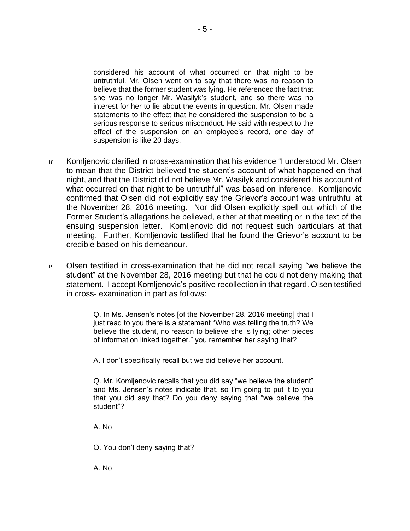considered his account of what occurred on that night to be untruthful. Mr. Olsen went on to say that there was no reason to believe that the former student was lying. He referenced the fact that she was no longer Mr. Wasilyk's student, and so there was no interest for her to lie about the events in question. Mr. Olsen made statements to the effect that he considered the suspension to be a serious response to serious misconduct. He said with respect to the effect of the suspension on an employee's record, one day of suspension is like 20 days.

- <sup>18</sup> Komljenovic clarified in cross-examination that his evidence "I understood Mr. Olsen to mean that the District believed the student's account of what happened on that night, and that the District did not believe Mr. Wasilyk and considered his account of what occurred on that night to be untruthful" was based on inference. Komljenovic confirmed that Olsen did not explicitly say the Grievor's account was untruthful at the November 28, 2016 meeting. Nor did Olsen explicitly spell out which of the Former Student's allegations he believed, either at that meeting or in the text of the ensuing suspension letter. Komljenovic did not request such particulars at that meeting. Further, Komljenovic testified that he found the Grievor's account to be credible based on his demeanour.
- <sup>19</sup> Olsen testified in cross-examination that he did not recall saying "we believe the student" at the November 28, 2016 meeting but that he could not deny making that statement. I accept Komljenovic's positive recollection in that regard. Olsen testified in cross- examination in part as follows:

Q. In Ms. Jensen's notes [of the November 28, 2016 meeting] that I just read to you there is a statement "Who was telling the truth? We believe the student, no reason to believe she is lying; other pieces of information linked together." you remember her saying that?

A. I don't specifically recall but we did believe her account.

Q. Mr. Komljenovic recalls that you did say "we believe the student" and Ms. Jensen's notes indicate that, so I'm going to put it to you that you did say that? Do you deny saying that "we believe the student"?

A. No

Q. You don't deny saying that?

A. No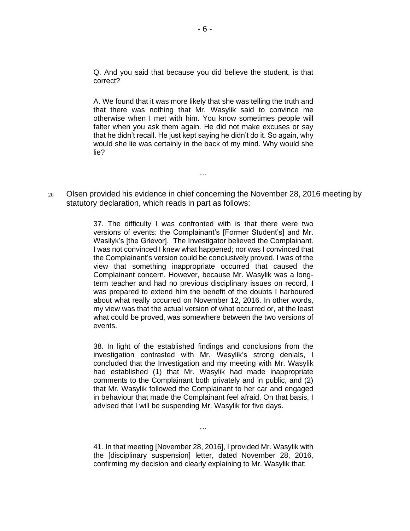Q. And you said that because you did believe the student, is that correct?

A. We found that it was more likely that she was telling the truth and that there was nothing that Mr. Wasylik said to convince me otherwise when I met with him. You know sometimes people will falter when you ask them again. He did not make excuses or say that he didn't recall. He just kept saying he didn't do it. So again, why would she lie was certainly in the back of my mind. Why would she lie?

<sup>20</sup> Olsen provided his evidence in chief concerning the November 28, 2016 meeting by statutory declaration, which reads in part as follows:

…

37. The difficulty I was confronted with is that there were two versions of events: the Complainant's [Former Student's] and Mr. Wasilyk's [the Grievor]. The Investigator believed the Complainant. I was not convinced I knew what happened; nor was I convinced that the Complainant's version could be conclusively proved. I was of the view that something inappropriate occurred that caused the Complainant concern. However, because Mr. Wasylik was a longterm teacher and had no previous disciplinary issues on record, I was prepared to extend him the benefit of the doubts I harboured about what really occurred on November 12, 2016. In other words, my view was that the actual version of what occurred or, at the least what could be proved, was somewhere between the two versions of events.

38. In light of the established findings and conclusions from the investigation contrasted with Mr. Wasylik's strong denials, I concluded that the Investigation and my meeting with Mr. Wasylik had established (1) that Mr. Wasylik had made inappropriate comments to the Complainant both privately and in public, and (2) that Mr. Wasylik followed the Complainant to her car and engaged in behaviour that made the Complainant feel afraid. On that basis, I advised that I will be suspending Mr. Wasylik for five days.

41. In that meeting [November 28, 2016], I provided Mr. Wasylik with the [disciplinary suspension] letter, dated November 28, 2016, confirming my decision and clearly explaining to Mr. Wasylik that:

…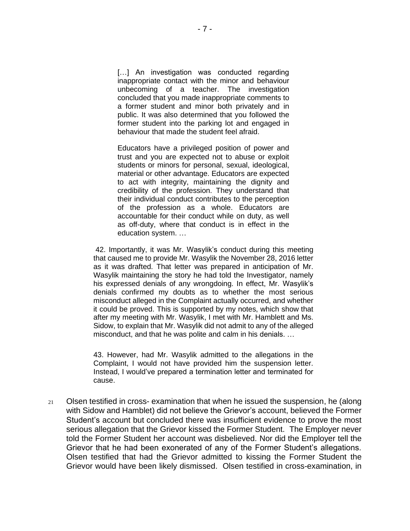[...] An investigation was conducted regarding inappropriate contact with the minor and behaviour unbecoming of a teacher. The investigation concluded that you made inappropriate comments to a former student and minor both privately and in public. It was also determined that you followed the former student into the parking lot and engaged in behaviour that made the student feel afraid.

Educators have a privileged position of power and trust and you are expected not to abuse or exploit students or minors for personal, sexual, ideological, material or other advantage. Educators are expected to act with integrity, maintaining the dignity and credibility of the profession. They understand that their individual conduct contributes to the perception of the profession as a whole. Educators are accountable for their conduct while on duty, as well as off-duty, where that conduct is in effect in the education system. …

42. Importantly, it was Mr. Wasylik's conduct during this meeting that caused me to provide Mr. Wasylik the November 28, 2016 letter as it was drafted. That letter was prepared in anticipation of Mr. Wasylik maintaining the story he had told the Investigator, namely his expressed denials of any wrongdoing. In effect, Mr. Wasylik's denials confirmed my doubts as to whether the most serious misconduct alleged in the Complaint actually occurred, and whether it could be proved. This is supported by my notes, which show that after my meeting with Mr. Wasylik, I met with Mr. Hamblett and Ms. Sidow, to explain that Mr. Wasylik did not admit to any of the alleged misconduct, and that he was polite and calm in his denials. …

43. However, had Mr. Wasylik admitted to the allegations in the Complaint, I would not have provided him the suspension letter. Instead, I would've prepared a termination letter and terminated for cause.

 $21$  Olsen testified in cross-examination that when he issued the suspension, he (along with Sidow and Hamblet) did not believe the Grievor's account, believed the Former Student's account but concluded there was insufficient evidence to prove the most serious allegation that the Grievor kissed the Former Student. The Employer never told the Former Student her account was disbelieved. Nor did the Employer tell the Grievor that he had been exonerated of any of the Former Student's allegations. Olsen testified that had the Grievor admitted to kissing the Former Student the Grievor would have been likely dismissed. Olsen testified in cross-examination, in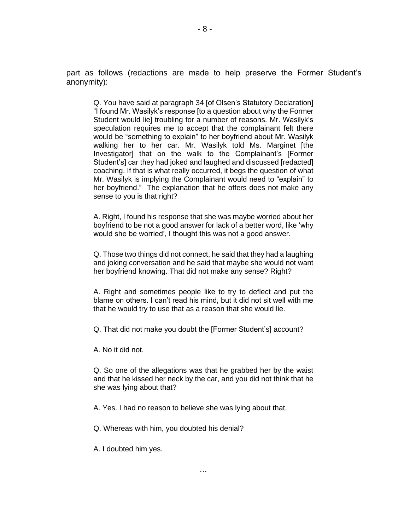part as follows (redactions are made to help preserve the Former Student's anonymity):

Q. You have said at paragraph 34 [of Olsen's Statutory Declaration] "I found Mr. Wasilyk's response [to a question about why the Former Student would lie] troubling for a number of reasons. Mr. Wasilyk's speculation requires me to accept that the complainant felt there would be "something to explain" to her boyfriend about Mr. Wasilyk walking her to her car. Mr. Wasilyk told Ms. Marginet [the Investigator] that on the walk to the Complainant's [Former Student's] car they had joked and laughed and discussed [redacted] coaching. If that is what really occurred, it begs the question of what Mr. Wasilyk is implying the Complainant would need to "explain" to her boyfriend." The explanation that he offers does not make any sense to you is that right?

A. Right, I found his response that she was maybe worried about her boyfriend to be not a good answer for lack of a better word, like 'why would she be worried', I thought this was not a good answer.

Q. Those two things did not connect, he said that they had a laughing and joking conversation and he said that maybe she would not want her boyfriend knowing. That did not make any sense? Right?

A. Right and sometimes people like to try to deflect and put the blame on others. I can't read his mind, but it did not sit well with me that he would try to use that as a reason that she would lie.

Q. That did not make you doubt the [Former Student's] account?

A. No it did not.

Q. So one of the allegations was that he grabbed her by the waist and that he kissed her neck by the car, and you did not think that he she was lying about that?

A. Yes. I had no reason to believe she was lying about that.

Q. Whereas with him, you doubted his denial?

A. I doubted him yes.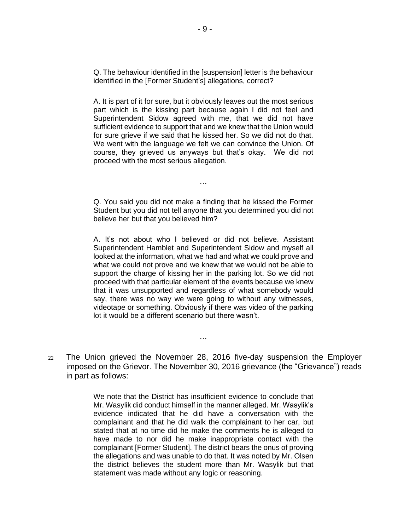Q. The behaviour identified in the [suspension] letter is the behaviour identified in the [Former Student's] allegations, correct?

A. It is part of it for sure, but it obviously leaves out the most serious part which is the kissing part because again I did not feel and Superintendent Sidow agreed with me, that we did not have sufficient evidence to support that and we knew that the Union would for sure grieve if we said that he kissed her. So we did not do that. We went with the language we felt we can convince the Union. Of course, they grieved us anyways but that's okay. We did not proceed with the most serious allegation.

Q. You said you did not make a finding that he kissed the Former Student but you did not tell anyone that you determined you did not believe her but that you believed him?

…

A. It's not about who I believed or did not believe. Assistant Superintendent Hamblet and Superintendent Sidow and myself all looked at the information, what we had and what we could prove and what we could not prove and we knew that we would not be able to support the charge of kissing her in the parking lot. So we did not proceed with that particular element of the events because we knew that it was unsupported and regardless of what somebody would say, there was no way we were going to without any witnesses, videotape or something. Obviously if there was video of the parking lot it would be a different scenario but there wasn't.

<sup>22</sup> The Union grieved the November 28, 2016 five-day suspension the Employer imposed on the Grievor. The November 30, 2016 grievance (the "Grievance") reads in part as follows:

…

We note that the District has insufficient evidence to conclude that Mr. Wasylik did conduct himself in the manner alleged. Mr. Wasylik's evidence indicated that he did have a conversation with the complainant and that he did walk the complainant to her car, but stated that at no time did he make the comments he is alleged to have made to nor did he make inappropriate contact with the complainant [Former Student]. The district bears the onus of proving the allegations and was unable to do that. It was noted by Mr. Olsen the district believes the student more than Mr. Wasylik but that statement was made without any logic or reasoning.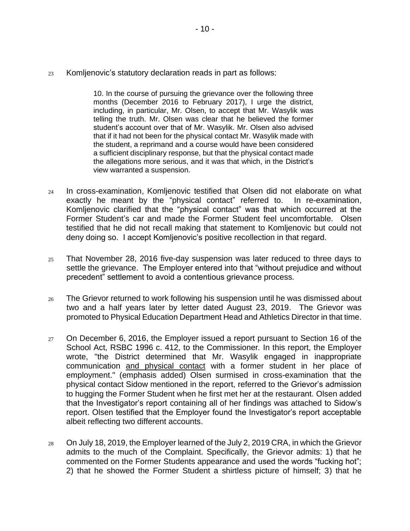<sup>23</sup> Komljenovic's statutory declaration reads in part as follows:

10. In the course of pursuing the grievance over the following three months (December 2016 to February 2017), I urge the district, including, in particular, Mr. Olsen, to accept that Mr. Wasylik was telling the truth. Mr. Olsen was clear that he believed the former student's account over that of Mr. Wasylik. Mr. Olsen also advised that if it had not been for the physical contact Mr. Wasylik made with the student, a reprimand and a course would have been considered a sufficient disciplinary response, but that the physical contact made the allegations more serious, and it was that which, in the District's view warranted a suspension.

- <sup>24</sup> In cross-examination, Komljenovic testified that Olsen did not elaborate on what exactly he meant by the "physical contact" referred to. In re-examination, Komljenovic clarified that the "physical contact" was that which occurred at the Former Student's car and made the Former Student feel uncomfortable. Olsen testified that he did not recall making that statement to Komljenovic but could not deny doing so. I accept Komljenovic's positive recollection in that regard.
- <sup>25</sup> That November 28, 2016 five-day suspension was later reduced to three days to settle the grievance. The Employer entered into that "without prejudice and without precedent" settlement to avoid a contentious grievance process.
- $26$  The Grievor returned to work following his suspension until he was dismissed about two and a half years later by letter dated August 23, 2019. The Grievor was promoted to Physical Education Department Head and Athletics Director in that time.
- $27$  On December 6, 2016, the Employer issued a report pursuant to Section 16 of the School Act, RSBC 1996 c. 412, to the Commissioner*.* In this report, the Employer wrote, "the District determined that Mr. Wasylik engaged in inappropriate communication and physical contact with a former student in her place of employment." (emphasis added) Olsen surmised in cross-examination that the physical contact Sidow mentioned in the report, referred to the Grievor's admission to hugging the Former Student when he first met her at the restaurant. Olsen added that the Investigator's report containing all of her findings was attached to Sidow's report. Olsen testified that the Employer found the Investigator's report acceptable albeit reflecting two different accounts.
- <sup>28</sup> On July 18, 2019, the Employer learned of the July 2, 2019 CRA, in which the Grievor admits to the much of the Complaint. Specifically, the Grievor admits: 1) that he commented on the Former Students appearance and used the words "fucking hot"; 2) that he showed the Former Student a shirtless picture of himself; 3) that he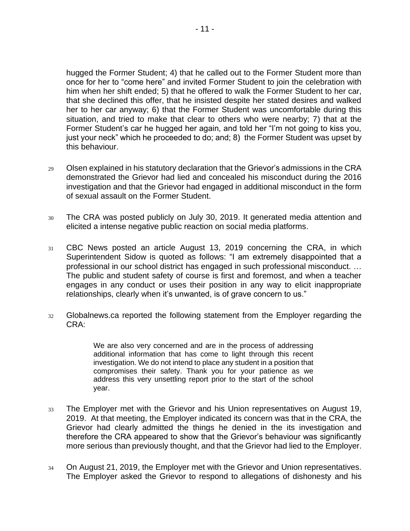hugged the Former Student; 4) that he called out to the Former Student more than once for her to "come here" and invited Former Student to join the celebration with him when her shift ended; 5) that he offered to walk the Former Student to her car, that she declined this offer, that he insisted despite her stated desires and walked her to her car anyway; 6) that the Former Student was uncomfortable during this situation, and tried to make that clear to others who were nearby; 7) that at the Former Student's car he hugged her again, and told her "I'm not going to kiss you, just your neck" which he proceeded to do; and; 8) the Former Student was upset by this behaviour.

- <sup>29</sup> Olsen explained in his statutory declaration that the Grievor's admissions in the CRA demonstrated the Grievor had lied and concealed his misconduct during the 2016 investigation and that the Grievor had engaged in additional misconduct in the form of sexual assault on the Former Student.
- <sup>30</sup> The CRA was posted publicly on July 30, 2019. It generated media attention and elicited a intense negative public reaction on social media platforms.
- <sup>31</sup> CBC News posted an article August 13, 2019 concerning the CRA, in which Superintendent Sidow is quoted as follows: "I am extremely disappointed that a professional in our school district has engaged in such professional misconduct. … The public and student safety of course is first and foremost, and when a teacher engages in any conduct or uses their position in any way to elicit inappropriate relationships, clearly when it's unwanted, is of grave concern to us."
- 32 Globalnews.ca reported the following statement from the Employer regarding the CRA:

We are also very concerned and are in the process of addressing additional information that has come to light through this recent investigation. We do not intend to place any student in a position that compromises their safety. Thank you for your patience as we address this very unsettling report prior to the start of the school year.

- 33 The Employer met with the Grievor and his Union representatives on August 19, 2019. At that meeting, the Employer indicated its concern was that in the CRA, the Grievor had clearly admitted the things he denied in the its investigation and therefore the CRA appeared to show that the Grievor's behaviour was significantly more serious than previously thought, and that the Grievor had lied to the Employer.
- <sup>34</sup> On August 21, 2019, the Employer met with the Grievor and Union representatives. The Employer asked the Grievor to respond to allegations of dishonesty and his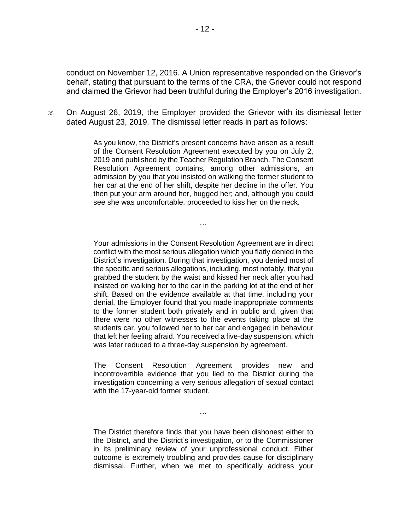conduct on November 12, 2016. A Union representative responded on the Grievor's behalf, stating that pursuant to the terms of the CRA, the Grievor could not respond and claimed the Grievor had been truthful during the Employer's 2016 investigation.

<sup>35</sup> On August 26, 2019, the Employer provided the Grievor with its dismissal letter dated August 23, 2019. The dismissal letter reads in part as follows:

> As you know, the District's present concerns have arisen as a result of the Consent Resolution Agreement executed by you on July 2, 2019 and published by the Teacher Regulation Branch. The Consent Resolution Agreement contains, among other admissions, an admission by you that you insisted on walking the former student to her car at the end of her shift, despite her decline in the offer. You then put your arm around her, hugged her; and, although you could see she was uncomfortable, proceeded to kiss her on the neck.

> > …

Your admissions in the Consent Resolution Agreement are in direct conflict with the most serious allegation which you flatly denied in the District's investigation. During that investigation, you denied most of the specific and serious allegations, including, most notably, that you grabbed the student by the waist and kissed her neck after you had insisted on walking her to the car in the parking lot at the end of her shift. Based on the evidence available at that time, including your denial, the Employer found that you made inappropriate comments to the former student both privately and in public and, given that there were no other witnesses to the events taking place at the students car, you followed her to her car and engaged in behaviour that left her feeling afraid. You received a five-day suspension, which was later reduced to a three-day suspension by agreement.

The Consent Resolution Agreement provides new and incontrovertible evidence that you lied to the District during the investigation concerning a very serious allegation of sexual contact with the 17-year-old former student.

The District therefore finds that you have been dishonest either to the District, and the District's investigation, or to the Commissioner in its preliminary review of your unprofessional conduct. Either outcome is extremely troubling and provides cause for disciplinary dismissal. Further, when we met to specifically address your

…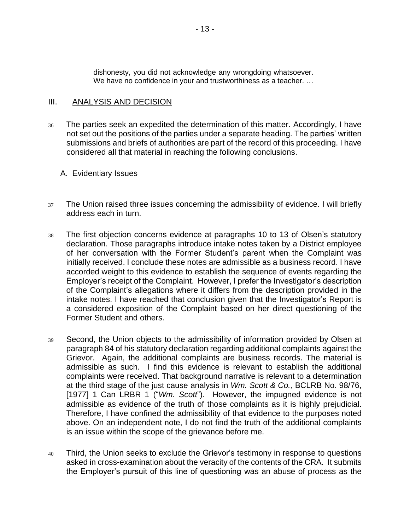dishonesty, you did not acknowledge any wrongdoing whatsoever. We have no confidence in your and trustworthiness as a teacher. …

### III. ANALYSIS AND DECISION

- <sup>36</sup> The parties seek an expedited the determination of this matter. Accordingly, I have not set out the positions of the parties under a separate heading. The parties' written submissions and briefs of authorities are part of the record of this proceeding. I have considered all that material in reaching the following conclusions.
	- A. Evidentiary Issues
- <sup>37</sup> The Union raised three issues concerning the admissibility of evidence. I will briefly address each in turn.
- <sup>38</sup> The first objection concerns evidence at paragraphs 10 to 13 of Olsen's statutory declaration. Those paragraphs introduce intake notes taken by a District employee of her conversation with the Former Student's parent when the Complaint was initially received. I conclude these notes are admissible as a business record. I have accorded weight to this evidence to establish the sequence of events regarding the Employer's receipt of the Complaint. However, I prefer the Investigator's description of the Complaint's allegations where it differs from the description provided in the intake notes. I have reached that conclusion given that the Investigator's Report is a considered exposition of the Complaint based on her direct questioning of the Former Student and others.
- <sup>39</sup> Second, the Union objects to the admissibility of information provided by Olsen at paragraph 84 of his statutory declaration regarding additional complaints against the Grievor. Again, the additional complaints are business records. The material is admissible as such. I find this evidence is relevant to establish the additional complaints were received. That background narrative is relevant to a determination at the third stage of the just cause analysis in *Wm. Scott & Co.,* BCLRB No. 98/76, [1977] 1 Can LRBR 1 ("Wm. Scott"). However, the impugned evidence is not admissible as evidence of the truth of those complaints as it is highly prejudicial. Therefore, I have confined the admissibility of that evidence to the purposes noted above. On an independent note, I do not find the truth of the additional complaints is an issue within the scope of the grievance before me.
- 40 Third, the Union seeks to exclude the Grievor's testimony in response to questions asked in cross-examination about the veracity of the contents of the CRA. It submits the Employer's pursuit of this line of questioning was an abuse of process as the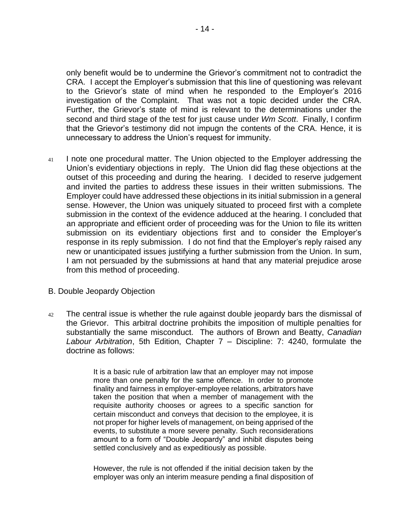only benefit would be to undermine the Grievor's commitment not to contradict the CRA. I accept the Employer's submission that this line of questioning was relevant to the Grievor's state of mind when he responded to the Employer's 2016 investigation of the Complaint. That was not a topic decided under the CRA. Further, the Grievor's state of mind is relevant to the determinations under the second and third stage of the test for just cause under *Wm Scott*. Finally, I confirm that the Grievor's testimony did not impugn the contents of the CRA. Hence, it is unnecessary to address the Union's request for immunity.

- <sup>41</sup> I note one procedural matter. The Union objected to the Employer addressing the Union's evidentiary objections in reply. The Union did flag these objections at the outset of this proceeding and during the hearing. I decided to reserve judgement and invited the parties to address these issues in their written submissions. The Employer could have addressed these objections in its initial submission in a general sense. However, the Union was uniquely situated to proceed first with a complete submission in the context of the evidence adduced at the hearing. I concluded that an appropriate and efficient order of proceeding was for the Union to file its written submission on its evidentiary objections first and to consider the Employer's response in its reply submission. I do not find that the Employer's reply raised any new or unanticipated issues justifying a further submission from the Union. In sum, I am not persuaded by the submissions at hand that any material prejudice arose from this method of proceeding.
- B. Double Jeopardy Objection
- <sup>42</sup> The central issue is whether the rule against double jeopardy bars the dismissal of the Grievor. This arbitral doctrine prohibits the imposition of multiple penalties for substantially the same misconduct. The authors of Brown and Beatty, *Canadian Labour Arbitration*, 5th Edition, Chapter 7 – Discipline: 7: 4240, formulate the doctrine as follows:

It is a basic rule of arbitration law that an employer may not impose more than one penalty for the same offence. In order to promote finality and fairness in employer-employee relations, arbitrators have taken the position that when a member of management with the requisite authority chooses or agrees to a specific sanction for certain misconduct and conveys that decision to the employee, it is not proper for higher levels of management, on being apprised of the events, to substitute a more severe penalty. Such reconsiderations amount to a form of "Double Jeopardy" and inhibit disputes being settled conclusively and as expeditiously as possible.

However, the rule is not offended if the initial decision taken by the employer was only an interim measure pending a final disposition of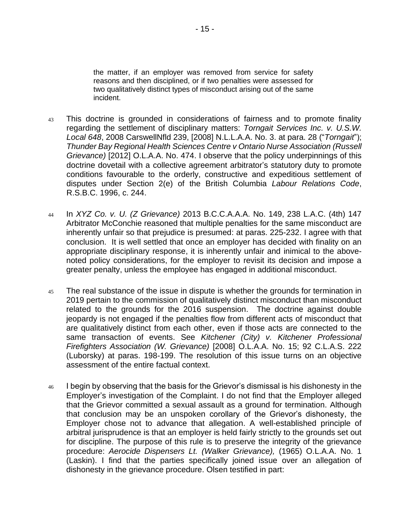the matter, if an employer was removed from service for safety reasons and then disciplined, or if two penalties were assessed for two qualitatively distinct types of misconduct arising out of the same incident.

- <sup>43</sup> This doctrine is grounded in considerations of fairness and to promote finality regarding the settlement of disciplinary matters: *Torngait Services Inc. v. U.S.W. Local 648*, 2008 CarswellNfld 239, [2008] N.L.L.A.A. No. 3. at para. 28 ("*Torngait*"); *Thunder Bay Regional Health Sciences Centre v Ontario Nurse Association (Russell Grievance)* [2012] O.L.A.A. No. 474. I observe that the policy underpinnings of this doctrine dovetail with a collective agreement arbitrator's statutory duty to promote conditions favourable to the orderly, constructive and expeditious settlement of disputes under Section 2(e) of the British Columbia *Labour Relations Code*, R.S.B.C. 1996, c. 244.
- <sup>44</sup> In *XYZ Co. v. U. (Z Grievance)* 2013 B.C.C.A.A.A. No. 149, 238 L.A.C. (4th) 147 Arbitrator McConchie reasoned that multiple penalties for the same misconduct are inherently unfair so that prejudice is presumed: at paras. 225-232. I agree with that conclusion. It is well settled that once an employer has decided with finality on an appropriate disciplinary response, it is inherently unfair and inimical to the abovenoted policy considerations, for the employer to revisit its decision and impose a greater penalty, unless the employee has engaged in additional misconduct.
- 45 The real substance of the issue in dispute is whether the grounds for termination in 2019 pertain to the commission of qualitatively distinct misconduct than misconduct related to the grounds for the 2016 suspension. The doctrine against double jeopardy is not engaged if the penalties flow from different acts of misconduct that are qualitatively distinct from each other, even if those acts are connected to the same transaction of events. See *Kitchener (City) v. Kitchener Professional Firefighters Association (W. Grievance)* [2008] O.L.A.A. No. 15; 92 C.L.A.S. 222 (Luborsky) at paras. 198-199. The resolution of this issue turns on an objective assessment of the entire factual context.
- 46 I begin by observing that the basis for the Grievor's dismissal is his dishonesty in the Employer's investigation of the Complaint. I do not find that the Employer alleged that the Grievor committed a sexual assault as a ground for termination. Although that conclusion may be an unspoken corollary of the Grievor's dishonesty, the Employer chose not to advance that allegation. A well-established principle of arbitral jurisprudence is that an employer is held fairly strictly to the grounds set out for discipline. The purpose of this rule is to preserve the integrity of the grievance procedure: *Aerocide Dispensers Lt. (Walker Grievance),* (1965) O.L.A.A. No. 1 (Laskin). I find that the parties specifically joined issue over an allegation of dishonesty in the grievance procedure. Olsen testified in part: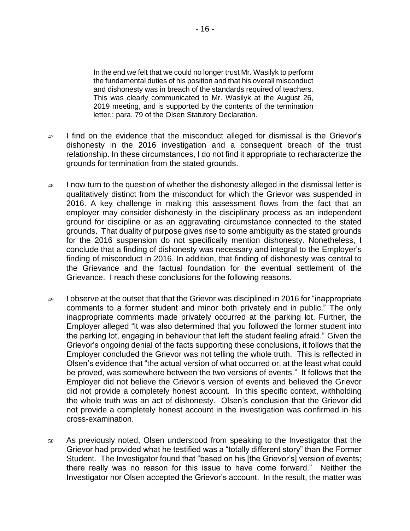In the end we felt that we could no longer trust Mr. Wasilyk to perform the fundamental duties of his position and that his overall misconduct and dishonesty was in breach of the standards required of teachers. This was clearly communicated to Mr. Wasilyk at the August 26, 2019 meeting, and is supported by the contents of the termination letter.: para. 79 of the Olsen Statutory Declaration.

- <sup>47</sup> I find on the evidence that the misconduct alleged for dismissal is the Grievor's dishonesty in the 2016 investigation and a consequent breach of the trust relationship. In these circumstances, I do not find it appropriate to recharacterize the grounds for termination from the stated grounds.
- 48 I now turn to the question of whether the dishonesty alleged in the dismissal letter is qualitatively distinct from the misconduct for which the Grievor was suspended in 2016. A key challenge in making this assessment flows from the fact that an employer may consider dishonesty in the disciplinary process as an independent ground for discipline or as an aggravating circumstance connected to the stated grounds. That duality of purpose gives rise to some ambiguity as the stated grounds for the 2016 suspension do not specifically mention dishonesty. Nonetheless, I conclude that a finding of dishonesty was necessary and integral to the Employer's finding of misconduct in 2016. In addition, that finding of dishonesty was central to the Grievance and the factual foundation for the eventual settlement of the Grievance. I reach these conclusions for the following reasons.
- <sup>49</sup> I observe at the outset that that the Grievor was disciplined in 2016 for "inappropriate comments to a former student and minor both privately and in public." The only inappropriate comments made privately occurred at the parking lot. Further, the Employer alleged "it was also determined that you followed the former student into the parking lot, engaging in behaviour that left the student feeling afraid." Given the Grievor's ongoing denial of the facts supporting these conclusions, it follows that the Employer concluded the Grievor was not telling the whole truth. This is reflected in Olsen's evidence that "the actual version of what occurred or, at the least what could be proved, was somewhere between the two versions of events." It follows that the Employer did not believe the Grievor's version of events and believed the Grievor did not provide a completely honest account. In this specific context, withholding the whole truth was an act of dishonesty. Olsen's conclusion that the Grievor did not provide a completely honest account in the investigation was confirmed in his cross-examination.
- <sup>50</sup> As previously noted, Olsen understood from speaking to the Investigator that the Grievor had provided what he testified was a "totally different story" than the Former Student. The Investigator found that "based on his [the Grievor's] version of events; there really was no reason for this issue to have come forward." Neither the Investigator nor Olsen accepted the Grievor's account. In the result, the matter was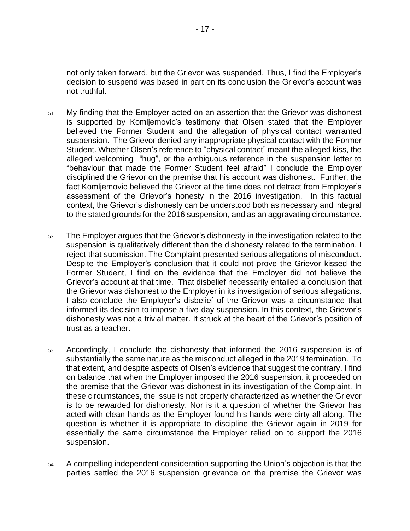not only taken forward, but the Grievor was suspended. Thus, I find the Employer's decision to suspend was based in part on its conclusion the Grievor's account was not truthful.

- <sup>51</sup> My finding that the Employer acted on an assertion that the Grievor was dishonest is supported by Komljemovic's testimony that Olsen stated that the Employer believed the Former Student and the allegation of physical contact warranted suspension. The Grievor denied any inappropriate physical contact with the Former Student. Whether Olsen's reference to "physical contact" meant the alleged kiss, the alleged welcoming "hug", or the ambiguous reference in the suspension letter to "behaviour that made the Former Student feel afraid" I conclude the Employer disciplined the Grievor on the premise that his account was dishonest. Further, the fact Komljemovic believed the Grievor at the time does not detract from Employer's assessment of the Grievor's honesty in the 2016 investigation. In this factual context, the Grievor's dishonesty can be understood both as necessary and integral to the stated grounds for the 2016 suspension, and as an aggravating circumstance.
- <sup>52</sup> The Employer argues that the Grievor's dishonesty in the investigation related to the suspension is qualitatively different than the dishonesty related to the termination. I reject that submission. The Complaint presented serious allegations of misconduct. Despite the Employer's conclusion that it could not prove the Grievor kissed the Former Student, I find on the evidence that the Employer did not believe the Grievor's account at that time. That disbelief necessarily entailed a conclusion that the Grievor was dishonest to the Employer in its investigation of serious allegations. I also conclude the Employer's disbelief of the Grievor was a circumstance that informed its decision to impose a five-day suspension. In this context, the Grievor's dishonesty was not a trivial matter. It struck at the heart of the Grievor's position of trust as a teacher.
- <sup>53</sup> Accordingly, I conclude the dishonesty that informed the 2016 suspension is of substantially the same nature as the misconduct alleged in the 2019 termination. To that extent, and despite aspects of Olsen's evidence that suggest the contrary, I find on balance that when the Employer imposed the 2016 suspension, it proceeded on the premise that the Grievor was dishonest in its investigation of the Complaint. In these circumstances, the issue is not properly characterized as whether the Grievor is to be rewarded for dishonesty. Nor is it a question of whether the Grievor has acted with clean hands as the Employer found his hands were dirty all along. The question is whether it is appropriate to discipline the Grievor again in 2019 for essentially the same circumstance the Employer relied on to support the 2016 suspension.
- <sup>54</sup> A compelling independent consideration supporting the Union's objection is that the parties settled the 2016 suspension grievance on the premise the Grievor was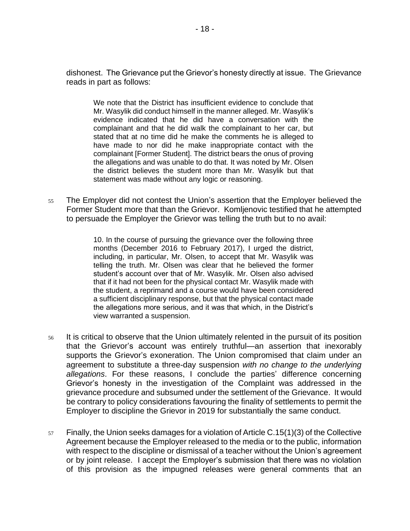dishonest. The Grievance put the Grievor's honesty directly at issue. The Grievance reads in part as follows:

We note that the District has insufficient evidence to conclude that Mr. Wasylik did conduct himself in the manner alleged. Mr. Wasylik's evidence indicated that he did have a conversation with the complainant and that he did walk the complainant to her car, but stated that at no time did he make the comments he is alleged to have made to nor did he make inappropriate contact with the complainant [Former Student]. The district bears the onus of proving the allegations and was unable to do that. It was noted by Mr. Olsen the district believes the student more than Mr. Wasylik but that statement was made without any logic or reasoning.

<sup>55</sup> The Employer did not contest the Union's assertion that the Employer believed the Former Student more that than the Grievor. Komljenovic testified that he attempted to persuade the Employer the Grievor was telling the truth but to no avail:

> 10. In the course of pursuing the grievance over the following three months (December 2016 to February 2017), I urged the district, including, in particular, Mr. Olsen, to accept that Mr. Wasylik was telling the truth. Mr. Olsen was clear that he believed the former student's account over that of Mr. Wasylik. Mr. Olsen also advised that if it had not been for the physical contact Mr. Wasylik made with the student, a reprimand and a course would have been considered a sufficient disciplinary response, but that the physical contact made the allegations more serious, and it was that which, in the District's view warranted a suspension.

- <sup>56</sup> It is critical to observe that the Union ultimately relented in the pursuit of its position that the Grievor's account was entirely truthful—an assertion that inexorably supports the Grievor's exoneration. The Union compromised that claim under an agreement to substitute a three-day suspension *with no change to the underlying allegations*. For these reasons, I conclude the parties' difference concerning Grievor's honesty in the investigation of the Complaint was addressed in the grievance procedure and subsumed under the settlement of the Grievance. It would be contrary to policy considerations favouring the finality of settlements to permit the Employer to discipline the Grievor in 2019 for substantially the same conduct.
- $57$  Finally, the Union seeks damages for a violation of Article C.15(1)(3) of the Collective Agreement because the Employer released to the media or to the public, information with respect to the discipline or dismissal of a teacher without the Union's agreement or by joint release. I accept the Employer's submission that there was no violation of this provision as the impugned releases were general comments that an